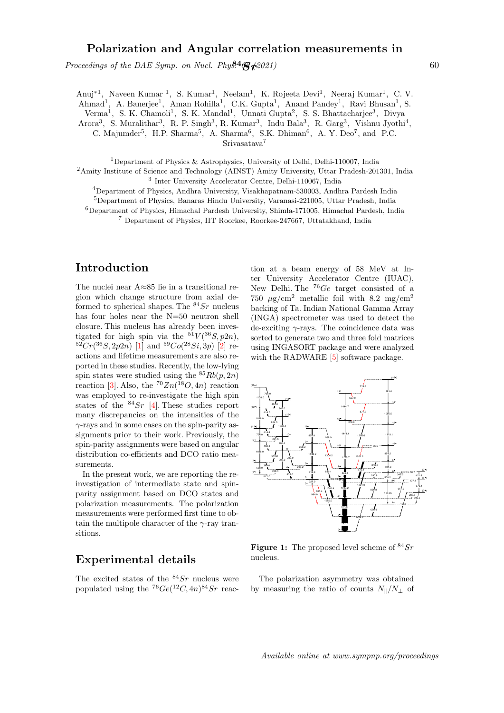## Polarization and Angular correlation measurements in

Proceedings of the DAE Symp. on Nucl. Phy $\frac{84}{5}$   $\sqrt{2021}$  60

Anuj<sup>\*1</sup>, Naveen Kumar<sup>1</sup>, S. Kumar<sup>1</sup>, Neelam<sup>1</sup>, K. Rojeeta Devi<sup>1</sup>, Neeraj Kumar<sup>1</sup>, C. V. Ahmad<sup>1</sup>, A. Banerjee<sup>1</sup>, Aman Rohilla<sup>1</sup>, C.K. Gupta<sup>1</sup>, Anand Pandey<sup>1</sup>, Ravi Bhusan<sup>1</sup>, S. Verma<sup>1</sup>, S. K. Chamoli<sup>1</sup>, S. K. Mandal<sup>1</sup>, Unnati Gupta<sup>2</sup>, S. S. Bhattacharjee<sup>3</sup>, Divya

Arora<sup>3</sup>, S. Muralithar<sup>3</sup>, R. P. Singh<sup>3</sup>, R. Kumar<sup>3</sup>, Indu Bala<sup>3</sup>, R. Garg<sup>3</sup>, Vishnu Jyothi<sup>4</sup>,

C. Majumder<sup>5</sup>, H.P. Sharma<sup>5</sup>, A. Sharma<sup>6</sup>, S.K. Dhiman<sup>6</sup>, A. Y. Deo<sup>7</sup>, and P.C.

Srivasatava<sup>7</sup>

<sup>1</sup>Department of Physics & Astrophysics, University of Delhi, Delhi-110007, India

<sup>2</sup>Amity Institute of Science and Technology (AINST) Amity University, Uttar Pradesh-201301, India 3 Inter University Accelerator Centre, Delhi-110067, India

<sup>4</sup>Department of Physics, Andhra University, Visakhapatnam-530003, Andhra Pardesh India

<sup>5</sup>Department of Physics, Banaras Hindu University, Varanasi-221005, Uttar Pradesh, India

<sup>6</sup>Department of Physics, Himachal Pardesh University, Shimla-171005, Himachal Pardesh, India

<sup>7</sup> Department of Physics, IIT Roorkee, Roorkee-247667, Uttatakhand, India

## Introduction

The nuclei near A≈85 lie in a transitional region which change structure from axial deformed to spherical shapes. The  $84Sr$  nucleus has four holes near the N=50 neutron shell closure. This nucleus has already been investigated for high spin via the  $51V(^{36}S, p2n)$ ,  ${}^{52}Cr({}^{36}S, 2p2n)$  [1] and  ${}^{59}Co({}^{28}Si, 3p)$  [2] reactions and lifetime measurements are also reported in these studies. Recently, the low-lying spin states were studied using the  ${}^{85}Rb(p, 2n)$ reaction [3]. Also, the  ${}^{70}Zn({}^{18}O, 4n)$  reaction was employed to re-investigate the high spin states of the  $84Sr$  [4]. These studies report many discrepancies on the intensities of the  $\gamma$ -rays and in some cases on the spin-parity assignments prior to their work. Previously, the spin-parity assignments were based on angular distribution co-efficients and DCO ratio measurements.

In the present work, we are reporting the reinvestigation of intermediate state and spinparity assignment based on DCO states and polarization measurements. The polarization measurements were performed first time to obtain the multipole character of the  $\gamma$ -ray transitions.

## Experimental details

The excited states of the  $84Sr$  nucleus were populated using the  ${}^{76}Ge({}^{12}C, 4n){}^{84}Sr$  reaction at a beam energy of 58 MeV at Inter University Accelerator Centre (IUAC), New Delhi. The  ${}^{76}Ge$  target consisted of a 750  $\mu$ g/cm<sup>2</sup> metallic foil with 8.2 mg/cm<sup>2</sup> backing of Ta. Indian National Gamma Array (INGA) spectrometer was used to detect the de-exciting  $\gamma$ -rays. The coincidence data was sorted to generate two and three fold matrices using INGASORT package and were analyzed with the RADWARE [5] software package.



**Figure 1:** The proposed level scheme of  ${}^{84}Sr$ nucleus.

The polarization asymmetry was obtained by measuring the ratio of counts  $N_{\parallel}/N_{\perp}$  of